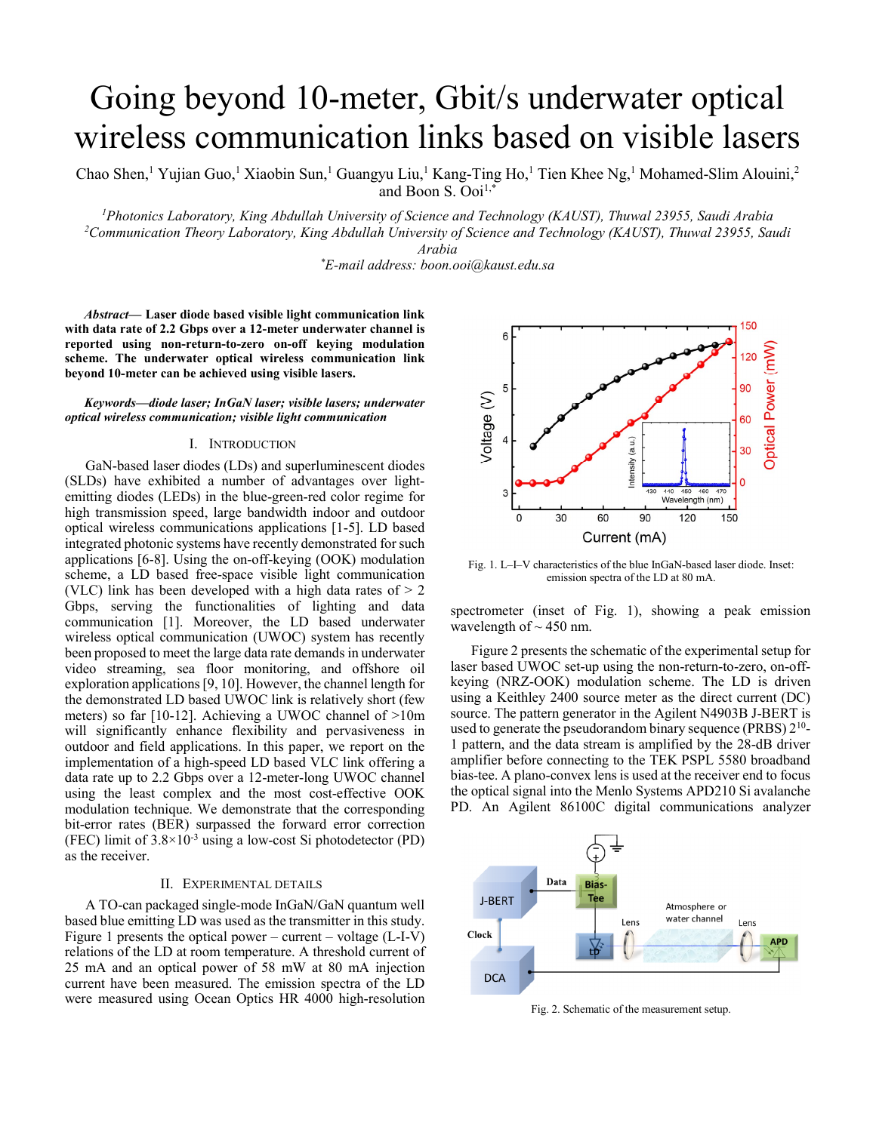# Going beyond 10-meter, Gbit/s underwater optical wireless communication links based on visible lasers

Chao Shen,<sup>1</sup> Yujian Guo,<sup>1</sup> Xiaobin Sun,<sup>1</sup> Guangyu Liu,<sup>1</sup> Kang-Ting Ho,<sup>1</sup> Tien Khee Ng,<sup>1</sup> Mohamed-Slim Alouini,<sup>2</sup> and Boon S. Ooi<sup>1,\*</sup>

<sup>1</sup> Photonics Laboratory, King Abdullah University of Science and Technology (KAUST), Thuwal 23955, Saudi Arabia <sup>2</sup><br><sup>2</sup> Communication Theory Laboratory, King Abdullah University of Science and Technology (KAUST), Thuwal 2 *Communication Theory Laboratory, King Abdullah University of Science and Technology (KAUST), Thuwal 23955, Saudi* 

*Arabia \* E-mail address: boon.ooi@kaust.edu.sa* 

*Abstract***— Laser diode based visible light communication link with data rate of 2.2 Gbps over a 12-meter underwater channel is reported using non-return-to-zero on-off keying modulation scheme. The underwater optical wireless communication link beyond 10-meter can be achieved using visible lasers.** 

*Keywords—diode laser; InGaN laser; visible lasers; underwater optical wireless communication; visible light communication* 

#### I. INTRODUCTION

GaN-based laser diodes (LDs) and superluminescent diodes (SLDs) have exhibited a number of advantages over lightemitting diodes (LEDs) in the blue-green-red color regime for high transmission speed, large bandwidth indoor and outdoor optical wireless communications applications [1-5]. LD based integrated photonic systems have recently demonstrated for such applications [6-8]. Using the on-off-keying (OOK) modulation scheme, a LD based free-space visible light communication (VLC) link has been developed with a high data rates of  $> 2$ Gbps, serving the functionalities of lighting and data communication [1]. Moreover, the LD based underwater wireless optical communication (UWOC) system has recently been proposed to meet the large data rate demands in underwater video streaming, sea floor monitoring, and offshore oil exploration applications [9, 10]. However, the channel length for the demonstrated LD based UWOC link is relatively short (few meters) so far [10-12]. Achieving a UWOC channel of >10m will significantly enhance flexibility and pervasiveness in outdoor and field applications. In this paper, we report on the implementation of a high-speed LD based VLC link offering a data rate up to 2.2 Gbps over a 12-meter-long UWOC channel using the least complex and the most cost-effective OOK modulation technique. We demonstrate that the corresponding bit-error rates (BER) surpassed the forward error correction (FEC) limit of  $3.8 \times 10^{-3}$  using a low-cost Si photodetector (PD) as the receiver.

# II. EXPERIMENTAL DETAILS

A TO-can packaged single-mode InGaN/GaN quantum well based blue emitting LD was used as the transmitter in this study. Figure 1 presents the optical power – current – voltage (L-I-V) relations of the LD at room temperature. A threshold current of 25 mA and an optical power of 58 mW at 80 mA injection current have been measured. The emission spectra of the LD were measured using Ocean Optics HR 4000 high-resolution



Fig. 1. L–I–V characteristics of the blue InGaN-based laser diode. Inset: emission spectra of the LD at 80 mA.

spectrometer (inset of Fig. 1), showing a peak emission wavelength of  $\sim$  450 nm.

Figure 2 presents the schematic of the experimental setup for laser based UWOC set-up using the non-return-to-zero, on-offkeying (NRZ-OOK) modulation scheme. The LD is driven using a Keithley 2400 source meter as the direct current (DC) source. The pattern generator in the Agilent N4903B J-BERT is used to generate the pseudorandom binary sequence (PRBS)  $2^{10}$ -1 pattern, and the data stream is amplified by the 28-dB driver amplifier before connecting to the TEK PSPL 5580 broadband bias-tee. A plano-convex lens is used at the receiver end to focus the optical signal into the Menlo Systems APD210 Si avalanche PD. An Agilent 86100C digital communications analyzer



Fig. 2. Schematic of the measurement setup.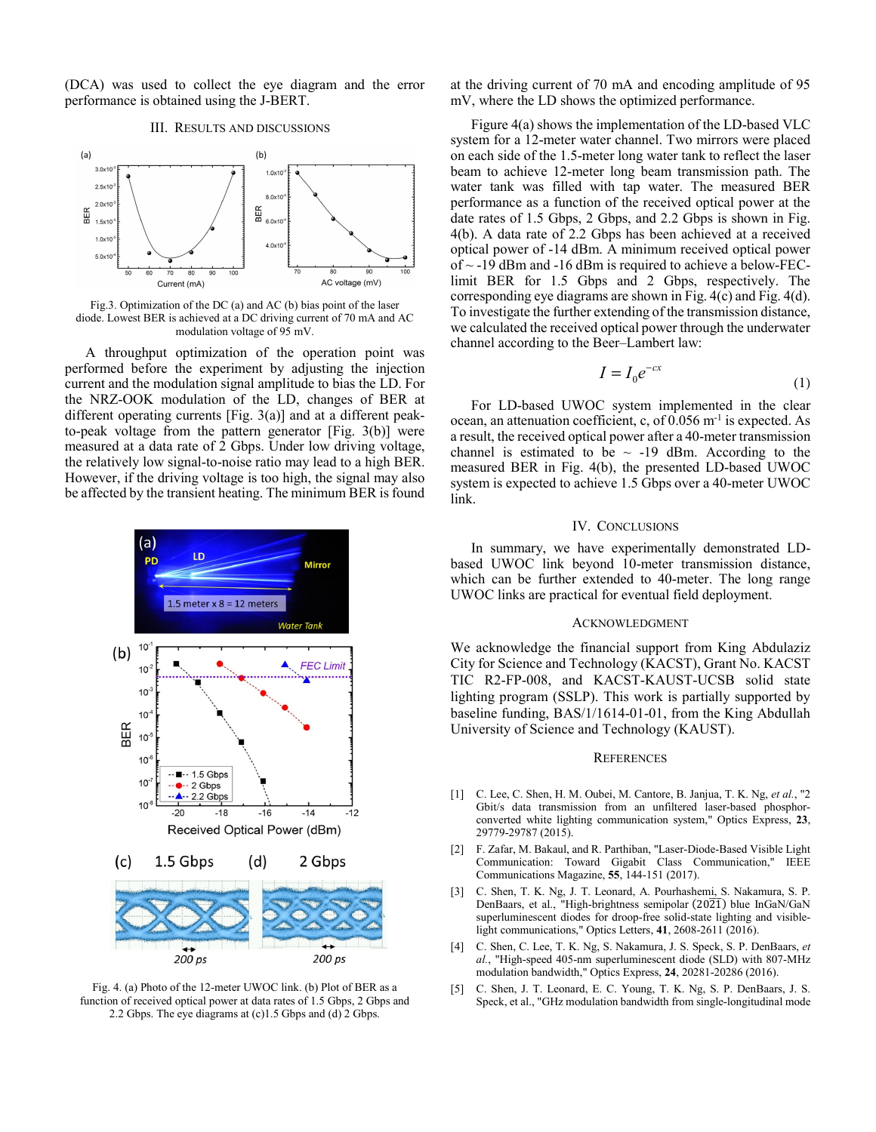(DCA) was used to collect the eye diagram and the error performance is obtained using the J-BERT.

## III. RESULTS AND DISCUSSIONS



Fig.3. Optimization of the DC (a) and AC (b) bias point of the laser diode. Lowest BER is achieved at a DC driving current of 70 mA and AC modulation voltage of 95 mV.

A throughput optimization of the operation point was performed before the experiment by adjusting the injection current and the modulation signal amplitude to bias the LD. For the NRZ-OOK modulation of the LD, changes of BER at different operating currents [Fig. 3(a)] and at a different peakto-peak voltage from the pattern generator [Fig. 3(b)] were measured at a data rate of 2 Gbps. Under low driving voltage, the relatively low signal-to-noise ratio may lead to a high BER. However, if the driving voltage is too high, the signal may also be affected by the transient heating. The minimum BER is found



Fig. 4. (a) Photo of the 12-meter UWOC link. (b) Plot of BER as a function of received optical power at data rates of 1.5 Gbps, 2 Gbps and 2.2 Gbps. The eye diagrams at (c)1.5 Gbps and (d) 2 Gbps.

at the driving current of 70 mA and encoding amplitude of 95 mV, where the LD shows the optimized performance.

Figure 4(a) shows the implementation of the LD-based VLC system for a 12-meter water channel. Two mirrors were placed on each side of the 1.5-meter long water tank to reflect the laser beam to achieve 12-meter long beam transmission path. The water tank was filled with tap water. The measured BER performance as a function of the received optical power at the date rates of 1.5 Gbps, 2 Gbps, and 2.2 Gbps is shown in Fig. 4(b). A data rate of 2.2 Gbps has been achieved at a received optical power of -14 dBm. A minimum received optical power of  $\sim$  -19 dBm and -16 dBm is required to achieve a below-FEClimit BER for 1.5 Gbps and 2 Gbps, respectively. The corresponding eye diagrams are shown in Fig. 4(c) and Fig. 4(d). To investigate the further extending of the transmission distance, we calculated the received optical power through the underwater channel according to the Beer–Lambert law:

$$
I = I_0 e^{-cx} \tag{1}
$$

For LD-based UWOC system implemented in the clear ocean, an attenuation coefficient, c, of  $0.056$  m<sup>-1</sup> is expected. As a result, the received optical power after a 40-meter transmission channel is estimated to be  $\sim$  -19 dBm. According to the measured BER in Fig. 4(b), the presented LD-based UWOC system is expected to achieve 1.5 Gbps over a 40-meter UWOC link.

# IV. CONCLUSIONS

In summary, we have experimentally demonstrated LDbased UWOC link beyond 10-meter transmission distance, which can be further extended to 40-meter. The long range UWOC links are practical for eventual field deployment.

### ACKNOWLEDGMENT

We acknowledge the financial support from King Abdulaziz City for Science and Technology (KACST), Grant No. KACST TIC R2-FP-008, and KACST-KAUST-UCSB solid state lighting program (SSLP). This work is partially supported by baseline funding, BAS/1/1614-01-01, from the King Abdullah University of Science and Technology (KAUST).

#### **REFERENCES**

- [1] C. Lee, C. Shen, H. M. Oubei, M. Cantore, B. Janjua, T. K. Ng, *et al.*, "2 Gbit/s data transmission from an unfiltered laser-based phosphorconverted white lighting communication system," Optics Express, **23**, 29779-29787 (2015).
- [2] F. Zafar, M. Bakaul, and R. Parthiban, "Laser-Diode-Based Visible Light Communication: Toward Gigabit Class Communication," IEEE Communications Magazine, **55**, 144-151 (2017).
- [3] C. Shen, T. K. Ng, J. T. Leonard, A. Pourhashemi, S. Nakamura, S. P. DenBaars, et al., "High-brightness semipolar  $(20\overline{21})$  blue InGaN/GaN superluminescent diodes for droop-free solid-state lighting and visiblelight communications," Optics Letters, **41**, 2608-2611 (2016).
- [4] C. Shen, C. Lee, T. K. Ng, S. Nakamura, J. S. Speck, S. P. DenBaars, *et al.*, "High-speed 405-nm superluminescent diode (SLD) with 807-MHz modulation bandwidth," Optics Express, **24**, 20281-20286 (2016).
- [5] C. Shen, J. T. Leonard, E. C. Young, T. K. Ng, S. P. DenBaars, J. S. Speck, et al., "GHz modulation bandwidth from single-longitudinal mode